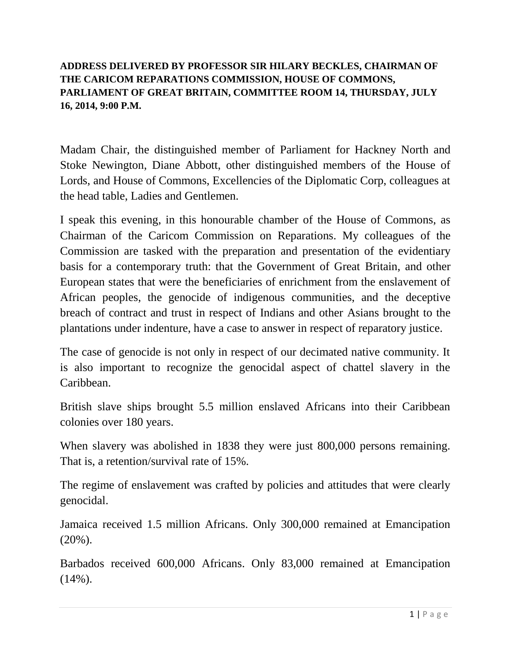## **ADDRESS DELIVERED BY PROFESSOR SIR HILARY BECKLES, CHAIRMAN OF THE CARICOM REPARATIONS COMMISSION, HOUSE OF COMMONS, PARLIAMENT OF GREAT BRITAIN, COMMITTEE ROOM 14, THURSDAY, JULY 16, 2014, 9:00 P.M.**

Madam Chair, the distinguished member of Parliament for Hackney North and Stoke Newington, Diane Abbott, other distinguished members of the House of Lords, and House of Commons, Excellencies of the Diplomatic Corp, colleagues at the head table, Ladies and Gentlemen.

I speak this evening, in this honourable chamber of the House of Commons, as Chairman of the Caricom Commission on Reparations. My colleagues of the Commission are tasked with the preparation and presentation of the evidentiary basis for a contemporary truth: that the Government of Great Britain, and other European states that were the beneficiaries of enrichment from the enslavement of African peoples, the genocide of indigenous communities, and the deceptive breach of contract and trust in respect of Indians and other Asians brought to the plantations under indenture, have a case to answer in respect of reparatory justice.

The case of genocide is not only in respect of our decimated native community. It is also important to recognize the genocidal aspect of chattel slavery in the Caribbean.

British slave ships brought 5.5 million enslaved Africans into their Caribbean colonies over 180 years.

When slavery was abolished in 1838 they were just 800,000 persons remaining. That is, a retention/survival rate of 15%.

The regime of enslavement was crafted by policies and attitudes that were clearly genocidal.

Jamaica received 1.5 million Africans. Only 300,000 remained at Emancipation  $(20\%)$ .

Barbados received 600,000 Africans. Only 83,000 remained at Emancipation  $(14\%)$ .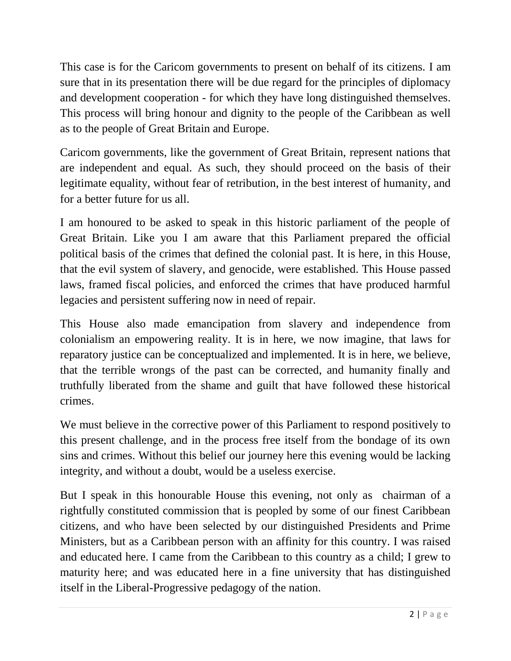This case is for the Caricom governments to present on behalf of its citizens. I am sure that in its presentation there will be due regard for the principles of diplomacy and development cooperation - for which they have long distinguished themselves. This process will bring honour and dignity to the people of the Caribbean as well as to the people of Great Britain and Europe.

Caricom governments, like the government of Great Britain, represent nations that are independent and equal. As such, they should proceed on the basis of their legitimate equality, without fear of retribution, in the best interest of humanity, and for a better future for us all.

I am honoured to be asked to speak in this historic parliament of the people of Great Britain. Like you I am aware that this Parliament prepared the official political basis of the crimes that defined the colonial past. It is here, in this House, that the evil system of slavery, and genocide, were established. This House passed laws, framed fiscal policies, and enforced the crimes that have produced harmful legacies and persistent suffering now in need of repair.

This House also made emancipation from slavery and independence from colonialism an empowering reality. It is in here, we now imagine, that laws for reparatory justice can be conceptualized and implemented. It is in here, we believe, that the terrible wrongs of the past can be corrected, and humanity finally and truthfully liberated from the shame and guilt that have followed these historical crimes.

We must believe in the corrective power of this Parliament to respond positively to this present challenge, and in the process free itself from the bondage of its own sins and crimes. Without this belief our journey here this evening would be lacking integrity, and without a doubt, would be a useless exercise.

But I speak in this honourable House this evening, not only as chairman of a rightfully constituted commission that is peopled by some of our finest Caribbean citizens, and who have been selected by our distinguished Presidents and Prime Ministers, but as a Caribbean person with an affinity for this country. I was raised and educated here. I came from the Caribbean to this country as a child; I grew to maturity here; and was educated here in a fine university that has distinguished itself in the Liberal-Progressive pedagogy of the nation.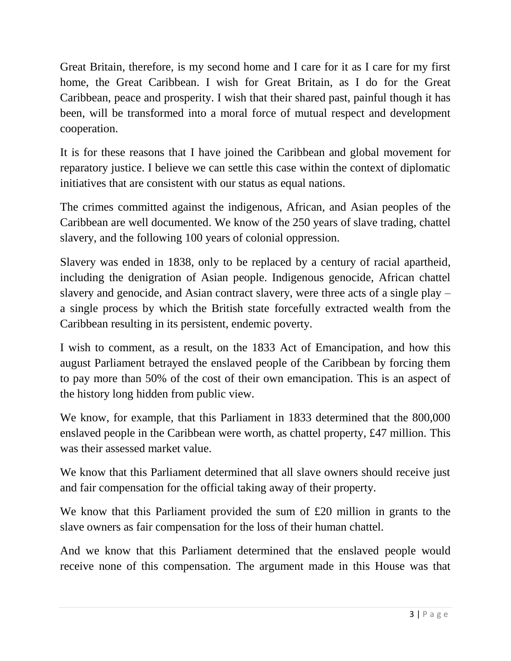Great Britain, therefore, is my second home and I care for it as I care for my first home, the Great Caribbean. I wish for Great Britain, as I do for the Great Caribbean, peace and prosperity. I wish that their shared past, painful though it has been, will be transformed into a moral force of mutual respect and development cooperation.

It is for these reasons that I have joined the Caribbean and global movement for reparatory justice. I believe we can settle this case within the context of diplomatic initiatives that are consistent with our status as equal nations.

The crimes committed against the indigenous, African, and Asian peoples of the Caribbean are well documented. We know of the 250 years of slave trading, chattel slavery, and the following 100 years of colonial oppression.

Slavery was ended in 1838, only to be replaced by a century of racial apartheid, including the denigration of Asian people. Indigenous genocide, African chattel slavery and genocide, and Asian contract slavery, were three acts of a single play – a single process by which the British state forcefully extracted wealth from the Caribbean resulting in its persistent, endemic poverty.

I wish to comment, as a result, on the 1833 Act of Emancipation, and how this august Parliament betrayed the enslaved people of the Caribbean by forcing them to pay more than 50% of the cost of their own emancipation. This is an aspect of the history long hidden from public view.

We know, for example, that this Parliament in 1833 determined that the 800,000 enslaved people in the Caribbean were worth, as chattel property, £47 million. This was their assessed market value.

We know that this Parliament determined that all slave owners should receive just and fair compensation for the official taking away of their property.

We know that this Parliament provided the sum of £20 million in grants to the slave owners as fair compensation for the loss of their human chattel.

And we know that this Parliament determined that the enslaved people would receive none of this compensation. The argument made in this House was that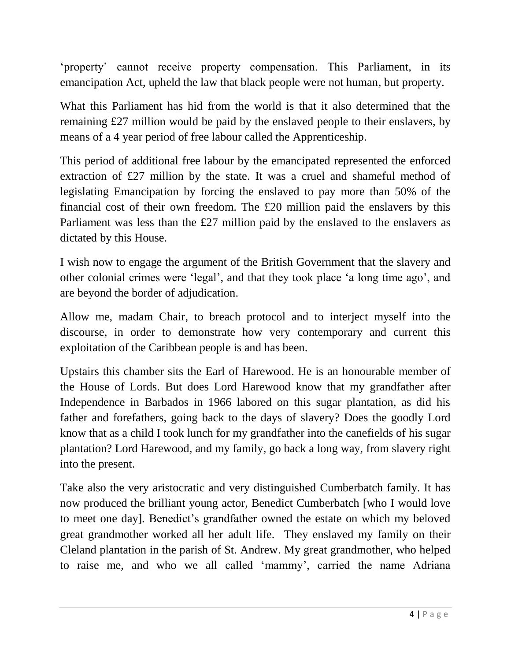'property' cannot receive property compensation. This Parliament, in its emancipation Act, upheld the law that black people were not human, but property.

What this Parliament has hid from the world is that it also determined that the remaining £27 million would be paid by the enslaved people to their enslavers, by means of a 4 year period of free labour called the Apprenticeship.

This period of additional free labour by the emancipated represented the enforced extraction of £27 million by the state. It was a cruel and shameful method of legislating Emancipation by forcing the enslaved to pay more than 50% of the financial cost of their own freedom. The £20 million paid the enslavers by this Parliament was less than the £27 million paid by the enslaved to the enslavers as dictated by this House.

I wish now to engage the argument of the British Government that the slavery and other colonial crimes were 'legal', and that they took place 'a long time ago', and are beyond the border of adjudication.

Allow me, madam Chair, to breach protocol and to interject myself into the discourse, in order to demonstrate how very contemporary and current this exploitation of the Caribbean people is and has been.

Upstairs this chamber sits the Earl of Harewood. He is an honourable member of the House of Lords. But does Lord Harewood know that my grandfather after Independence in Barbados in 1966 labored on this sugar plantation, as did his father and forefathers, going back to the days of slavery? Does the goodly Lord know that as a child I took lunch for my grandfather into the canefields of his sugar plantation? Lord Harewood, and my family, go back a long way, from slavery right into the present.

Take also the very aristocratic and very distinguished Cumberbatch family. It has now produced the brilliant young actor, Benedict Cumberbatch [who I would love to meet one day]. Benedict's grandfather owned the estate on which my beloved great grandmother worked all her adult life. They enslaved my family on their Cleland plantation in the parish of St. Andrew. My great grandmother, who helped to raise me, and who we all called 'mammy', carried the name Adriana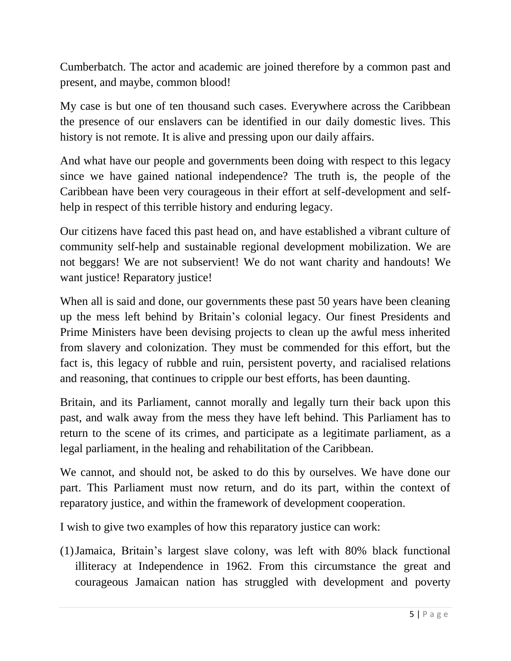Cumberbatch. The actor and academic are joined therefore by a common past and present, and maybe, common blood!

My case is but one of ten thousand such cases. Everywhere across the Caribbean the presence of our enslavers can be identified in our daily domestic lives. This history is not remote. It is alive and pressing upon our daily affairs.

And what have our people and governments been doing with respect to this legacy since we have gained national independence? The truth is, the people of the Caribbean have been very courageous in their effort at self-development and selfhelp in respect of this terrible history and enduring legacy.

Our citizens have faced this past head on, and have established a vibrant culture of community self-help and sustainable regional development mobilization. We are not beggars! We are not subservient! We do not want charity and handouts! We want justice! Reparatory justice!

When all is said and done, our governments these past 50 years have been cleaning up the mess left behind by Britain's colonial legacy. Our finest Presidents and Prime Ministers have been devising projects to clean up the awful mess inherited from slavery and colonization. They must be commended for this effort, but the fact is, this legacy of rubble and ruin, persistent poverty, and racialised relations and reasoning, that continues to cripple our best efforts, has been daunting.

Britain, and its Parliament, cannot morally and legally turn their back upon this past, and walk away from the mess they have left behind. This Parliament has to return to the scene of its crimes, and participate as a legitimate parliament, as a legal parliament, in the healing and rehabilitation of the Caribbean.

We cannot, and should not, be asked to do this by ourselves. We have done our part. This Parliament must now return, and do its part, within the context of reparatory justice, and within the framework of development cooperation.

I wish to give two examples of how this reparatory justice can work:

(1)Jamaica, Britain's largest slave colony, was left with 80% black functional illiteracy at Independence in 1962. From this circumstance the great and courageous Jamaican nation has struggled with development and poverty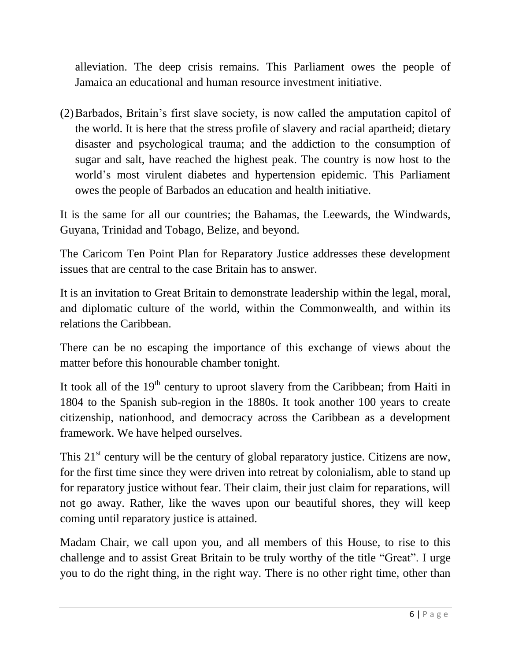alleviation. The deep crisis remains. This Parliament owes the people of Jamaica an educational and human resource investment initiative.

(2)Barbados, Britain's first slave society, is now called the amputation capitol of the world. It is here that the stress profile of slavery and racial apartheid; dietary disaster and psychological trauma; and the addiction to the consumption of sugar and salt, have reached the highest peak. The country is now host to the world's most virulent diabetes and hypertension epidemic. This Parliament owes the people of Barbados an education and health initiative.

It is the same for all our countries; the Bahamas, the Leewards, the Windwards, Guyana, Trinidad and Tobago, Belize, and beyond.

The Caricom Ten Point Plan for Reparatory Justice addresses these development issues that are central to the case Britain has to answer.

It is an invitation to Great Britain to demonstrate leadership within the legal, moral, and diplomatic culture of the world, within the Commonwealth, and within its relations the Caribbean.

There can be no escaping the importance of this exchange of views about the matter before this honourable chamber tonight.

It took all of the  $19<sup>th</sup>$  century to uproot slavery from the Caribbean; from Haiti in 1804 to the Spanish sub-region in the 1880s. It took another 100 years to create citizenship, nationhood, and democracy across the Caribbean as a development framework. We have helped ourselves.

This 21<sup>st</sup> century will be the century of global reparatory justice. Citizens are now, for the first time since they were driven into retreat by colonialism, able to stand up for reparatory justice without fear. Their claim, their just claim for reparations, will not go away. Rather, like the waves upon our beautiful shores, they will keep coming until reparatory justice is attained.

Madam Chair, we call upon you, and all members of this House, to rise to this challenge and to assist Great Britain to be truly worthy of the title "Great". I urge you to do the right thing, in the right way. There is no other right time, other than